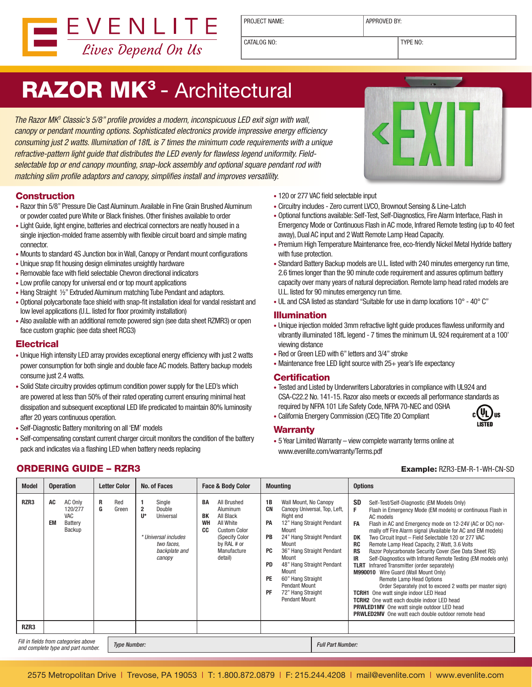

PROJECT NAME: and approved by:

CATALOG NO:  $\boxed{\text{TPF} \space \text{N} \space \text{N}}$ 

# RAZOR MK<sup>3</sup> - Architectural

The Razor MK<sup>3</sup> Classic's 5/8" profile provides a modern, inconspicuous LED exit sign with wall, canopy or pendant mounting options. Sophisticated electronics provide impressive energy efficiency consuming just 2 watts. Illumination of 18fL is 7 times the minimum code requirements with a unique refractive-pattern light guide that distributes the LED evenly for flawless legend uniformity. Fieldselectable top or end canopy mounting, snap-lock assembly and optional square pendant rod with matching slim profile adaptors and canopy, simplifies install and improves versatility.

### **Construction**

- Razor thin 5/8" Pressure Die Cast Aluminum. Available in Fine Grain Brushed Aluminum or powder coated pureWhite or Black finishes. Other finishes available to order
- Light Guide, light engine, batteries and electrical connectors are neatly housed in a single injection-molded frame assembly with flexible circuit board and simple mating connector.
- Mounts to standard 4S Junction box in Wall, Canopy or Pendant mount configurations
- Unique snap fit housing design eliminates unsightly hardware
- Removable face with field selectable Chevron directional indicators
- Low profile canopy for universal end or top mount applications
- Hang Straight 1/2" Extruded Aluminum matching Tube Pendant and adaptors.
- • Optional polycarbonate face shield with snap-fit installation ideal for vandal resistant and low level applications (U.L. listed for floor proximity installation)
- Also available with an additional remote powered sign (see data sheet RZMR3) or open face custom graphic (see data sheet RCG3)

### **Electrical**

- Unique High intensity LED array provides exceptional energy efficiency with just 2 watts power consumption for both single and double face AC models. Battery backup models consume just 2.4 watts.
- • Solid State circuitry provides optimum condition power supply for the LED's which are powered at less than 50% of their rated operating current ensuring minimal heat dissipation and subsequent exceptional LED life predicated to maintain 80% luminosity after 20 years continuous operation.
- Self-Diagnostic Battery monitoring on all 'EM' models
- • Self-compensating constant current charger circuit monitors the condition of the battery pack and indicates via a flashing LED when battery needs replacing
- 120 or 277 VAC field selectable input
- • Circuitry includes Zero current LVCO, Brownout Sensing & Line-Latch
- • Optional functions available: Self-Test, Self-Diagnostics, Fire Alarm Interface, Flash in Emergency Mode or Continuous Flash in AC mode, Infrared Remote testing (up to 40 feet away), Dual AC input and 2 Watt Remote Lamp Head Capacity.
- Premium High Temperature Maintenance free, eco-friendly Nickel Metal Hydride battery with fuse protection.
- Standard Battery Backup models are U.L. listed with 240 minutes emergency run time, 2.6 times longer than the 90 minute code requirement and assures optimum battery capacity over many years of natural depreciation. Remote lamp head rated models are U.L. listed for 90 minutes emergency run time.
- UL and CSA listed as standard "Suitable for use in damp locations 10° 40° C"

#### Illumination

- Unique injection molded 3mm refractive light guide produces flawless uniformity and vibrantly illuminated 18fL legend - 7 times the minimum UL 924 requirement at a 100' viewing distance
- Red or Green LED with 6" letters and 3/4" stroke
- Maintenance free LED light source with 25+ year's life expectancy

#### **Certification**

- • Tested and Listed by Underwriters Laboratories in compliance with UL924 and CSA-C22.2 No. 141-15. Razor also meets or exceeds all performance standards as required by NFPA 101 Life Safety Code, NFPA 70-NEC and OSHA  $c \left( \underline{\mathbf{U}} \underline{\mathbf{U}} \right)$ us
- • California Energery Commission (CEC) Title 20 Compliant



www.evenlite.com/warranty/Terms.pdf

• 5 Year Limited Warranty – view complete warranty terms online at

| <b>Model</b>                                                                                      | <b>Operation</b>                                                  | <b>Letter Color</b>    | No. of Faces                                                                                                         | <b>Face &amp; Body Color</b>                                                                                                                                       | <b>Mounting</b>                                                                                                                                                                                                                                                                                                                                                                                         | <b>Options</b>                                                                                                                                                                                                                                                                                                                                                                                                                                                                                                                                                                                                                                                                                                                                                                                                                                                                                                                                 |
|---------------------------------------------------------------------------------------------------|-------------------------------------------------------------------|------------------------|----------------------------------------------------------------------------------------------------------------------|--------------------------------------------------------------------------------------------------------------------------------------------------------------------|---------------------------------------------------------------------------------------------------------------------------------------------------------------------------------------------------------------------------------------------------------------------------------------------------------------------------------------------------------------------------------------------------------|------------------------------------------------------------------------------------------------------------------------------------------------------------------------------------------------------------------------------------------------------------------------------------------------------------------------------------------------------------------------------------------------------------------------------------------------------------------------------------------------------------------------------------------------------------------------------------------------------------------------------------------------------------------------------------------------------------------------------------------------------------------------------------------------------------------------------------------------------------------------------------------------------------------------------------------------|
| RZR3                                                                                              | AC<br>AC Only<br>120/277<br>VAC<br>Battery<br><b>EM</b><br>Backup | R<br>Red<br>G<br>Green | Single<br>$\mathbf{2}$<br>Double<br>U*<br>Universal<br>* Universal includes<br>two faces.<br>backplate and<br>canopy | All Brushed<br>BA<br>Aluminum<br>All Black<br><b>BK</b><br>WH<br>All White<br>CC<br><b>Custom Color</b><br>(Specify Color<br>by RAL # or<br>Manufacture<br>detail) | 1B<br>Wall Mount, No Canopy<br><b>CN</b><br>Canopy Universal, Top, Left,<br>Right end<br>PA<br>12" Hang Straight Pendant<br>Mount<br>24" Hang Straight Pendant<br><b>PB</b><br>Mount<br>36" Hang Straight Pendant<br><b>PC</b><br>Mount<br>48" Hang Straight Pendant<br><b>PD</b><br>Mount<br><b>PE</b><br>60" Hang Straight<br><b>Pendant Mount</b><br>PF<br>72" Hang Straight<br><b>Pendant Mount</b> | SD<br>Self-Test/Self-Diagnostic (EM Models Only)<br>Flash in Emergency Mode (EM models) or continuous Flash in<br>AC models<br>FA<br>Flash in AC and Emergency mode on 12-24V (AC or DC) nor-<br>mally off Fire Alarm signal (Available for AC and EM models)<br>Two Circuit Input - Field Selectable 120 or 277 VAC<br>DK<br>RC<br>Remote Lamp Head Capacity, 2 Watt, 3.6 Volts<br><b>RS</b><br>Razor Polycarbonate Security Cover (See Data Sheet RS)<br>IR.<br>Self-Diagnostics with Infrared Remote Testing (EM models only)<br><b>TLRT</b> Infrared Transmitter (order separately)<br>M990010 Wire Guard (Wall Mount Only)<br>Remote Lamp Head Options<br>Order Separately (not to exceed 2 watts per master sign)<br><b>TCRH1</b> One watt single indoor LED Head<br><b>TCRH2</b> One watt each double indoor LED head<br><b>PRWLED1MV</b> One watt single outdoor LED head<br><b>PRWLED2MV</b> One watt each double outdoor remote head |
| RZR3                                                                                              |                                                                   |                        |                                                                                                                      |                                                                                                                                                                    |                                                                                                                                                                                                                                                                                                                                                                                                         |                                                                                                                                                                                                                                                                                                                                                                                                                                                                                                                                                                                                                                                                                                                                                                                                                                                                                                                                                |
| Fill in fields from categories above<br><b>Type Number:</b><br>and complete type and part number. |                                                                   |                        |                                                                                                                      |                                                                                                                                                                    | <b>Full Part Number:</b>                                                                                                                                                                                                                                                                                                                                                                                |                                                                                                                                                                                                                                                                                                                                                                                                                                                                                                                                                                                                                                                                                                                                                                                                                                                                                                                                                |

## ORDERING GUIDE – RZR3 Example: RZR3-EM-R-1-WH-CN-SD